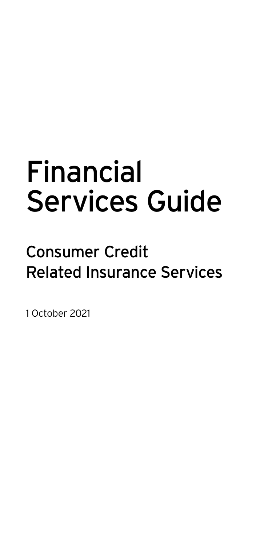# Financial Services Guide

## Consumer Credit Related Insurance Services

1 October 2021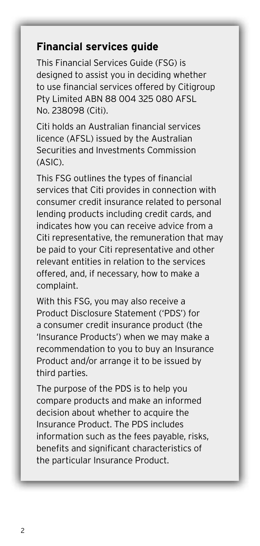#### **Financial services guide**

This Financial Services Guide (FSG) is designed to assist you in deciding whether to use financial services offered by Citigroup Pty Limited ABN 88 004 325 080 AFSL No. 238098 (Citi).

Citi holds an Australian financial services licence (AFSL) issued by the Australian Securities and Investments Commission (ASIC).

This FSG outlines the types of financial services that Citi provides in connection with consumer credit insurance related to personal lending products including credit cards, and indicates how you can receive advice from a Citi representative, the remuneration that may be paid to your Citi representative and other relevant entities in relation to the services offered, and, if necessary, how to make a complaint.

With this FSG, you may also receive a Product Disclosure Statement ('PDS') for a consumer credit insurance product (the 'Insurance Products') when we may make a recommendation to you to buy an Insurance Product and/or arrange it to be issued by third parties.

The purpose of the PDS is to help you compare products and make an informed decision about whether to acquire the Insurance Product. The PDS includes information such as the fees payable, risks, benefits and significant characteristics of the particular Insurance Product.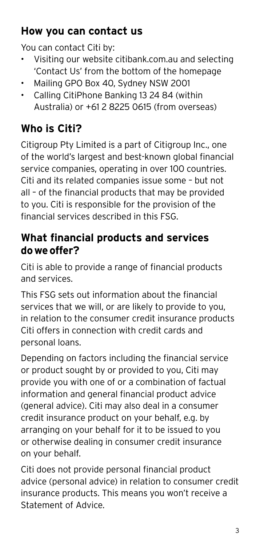## **How you can contact us**

You can contact Citi by:

- Visiting our website [citibank.com.au](http://citibank.com.au) and selecting 'Contact Us' from the bottom of the homepage
- Mailing GPO Box 40, Sydney NSW 2001
- Calling CitiPhone Banking 13 24 84 (within Australia) or +61 2 8225 0615 (from overseas)

## **Who is Citi?**

Citigroup Pty Limited is a part of Citigroup Inc., one of the world's largest and best-known global financial service companies, operating in over 100 countries. Citi and its related companies issue some – but not all – of the financial products that may be provided to you. Citi is responsible for the provision of the financial services described in this FSG.

## **What financial products and services do we offer?**

Citi is able to provide a range of financial products and services.

This FSG sets out information about the financial services that we will, or are likely to provide to you, in relation to the consumer credit insurance products Citi offers in connection with credit cards and personal loans.

Depending on factors including the financial service or product sought by or provided to you, Citi may provide you with one of or a combination of factual information and general financial product advice (general advice). Citi may also deal in a consumer credit insurance product on your behalf, e.g. by arranging on your behalf for it to be issued to you or otherwise dealing in consumer credit insurance on your behalf.

Citi does not provide personal financial product advice (personal advice) in relation to consumer credit insurance products. This means you won't receive a Statement of Advice.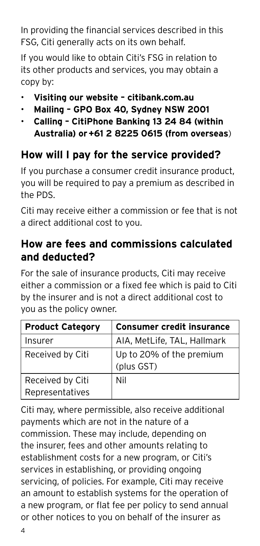In providing the financial services described in this FSG, Citi generally acts on its own behalf.

If you would like to obtain Citi's FSG in relation to its other products and services, you may obtain a copy by:

- **Visiting our website – [citibank.com.au](http://citibank.com.au)**
- **Mailing GPO Box 40, Sydney NSW 2001**
- • **Calling CitiPhone Banking 13 24 84 (within Australia) or +61 2 8225 0615 (from overseas**)

## **How will I pay for the service provided?**

If you purchase a consumer credit insurance product, you will be required to pay a premium as described in the PDS.

Citi may receive either a commission or fee that is not a direct additional cost to you.

## **How are fees and commissions calculated and deducted?**

For the sale of insurance products, Citi may receive either a commission or a fixed fee which is paid to Citi by the insurer and is not a direct additional cost to you as the policy owner.

| <b>Product Category</b> | <b>Consumer credit insurance</b>       |
|-------------------------|----------------------------------------|
| Insurer                 | AIA, MetLife, TAL, Hallmark            |
| Received by Citi        | Up to 20% of the premium<br>(plus GST) |
| Received by Citi        | Nil                                    |
| Representatives         |                                        |

Citi may, where permissible, also receive additional payments which are not in the nature of a commission. These may include, depending on the insurer, fees and other amounts relating to establishment costs for a new program, or Citi's services in establishing, or providing ongoing servicing, of policies. For example, Citi may receive an amount to establish systems for the operation of a new program, or flat fee per policy to send annual or other notices to you on behalf of the insurer as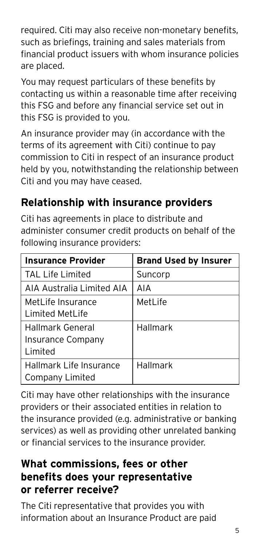required. Citi may also receive non-monetary benefits, such as briefings, training and sales materials from financial product issuers with whom insurance policies are placed.

You may request particulars of these benefits by contacting us within a reasonable time after receiving this FSG and before any financial service set out in this FSG is provided to you.

An insurance provider may (in accordance with the terms of its agreement with Citi) continue to pay commission to Citi in respect of an insurance product held by you, notwithstanding the relationship between Citi and you may have ceased.

## **Relationship with insurance providers**

Citi has agreements in place to distribute and administer consumer credit products on behalf of the following insurance providers:

| <b>Insurance Provider</b> | <b>Brand Used by Insurer</b> |
|---------------------------|------------------------------|
| TAL Life Limited          | Suncorp                      |
| AIA Australia Limited AIA | AIA                          |
| MetLife Insurance         | MetLife                      |
| Limited MetLife           |                              |
| Hallmark General          | Hallmark                     |
| Insurance Company         |                              |
| Limited                   |                              |
| Hallmark Life Insurance   | Hallmark                     |
| Company Limited           |                              |

Citi may have other relationships with the insurance providers or their associated entities in relation to the insurance provided (e.g. administrative or banking services) as well as providing other unrelated banking or financial services to the insurance provider.

## **What commissions, fees or other benefits does your representative or referrer receive?**

The Citi representative that provides you with information about an Insurance Product are paid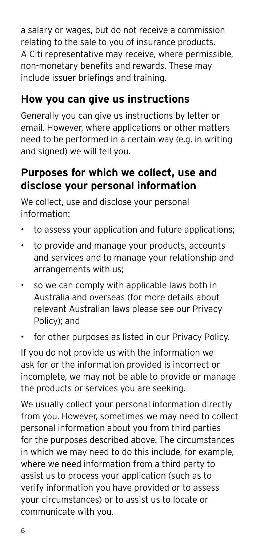a salary or wages, but do not receive a commission relating to the sale to you of insurance products. A Citi representative may receive, where permissible, non-monetary benefits and rewards. These may include issuer briefings and training.

## **How you can give us instructions**

Generally you can give us instructions by letter or email. However, where applications or other matters need to be performed in a certain way (e.g. in writing and signed) we will tell you.

#### **Purposes for which we collect, use and disclose your personal information**

We collect, use and disclose your personal information:

- to assess your application and future applications;
- to provide and manage your products, accounts and services and to manage your relationship and arrangements with us;
- so we can comply with applicable laws both in Australia and overseas (for more details about relevant Australian laws please see our Privacy Policy); and
- for other purposes as listed in our Privacy Policy.

If you do not provide us with the information we ask for or the information provided is incorrect or incomplete, we may not be able to provide or manage the products or services you are seeking.

We usually collect your personal information directly from you. However, sometimes we may need to collect personal information about you from third parties for the purposes described above. The circumstances in which we may need to do this include, for example, where we need information from a third party to assist us to process your application (such as to verify information you have provided or to assess your circumstances) or to assist us to locate or communicate with you.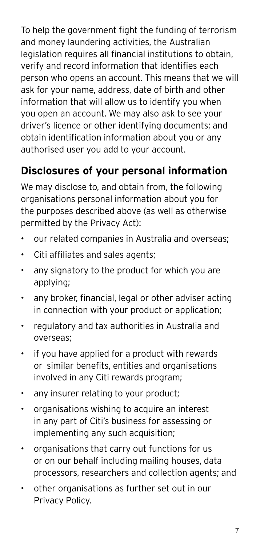To help the government fight the funding of terrorism and money laundering activities, the Australian legislation requires all financial institutions to obtain, verify and record information that identifies each person who opens an account. This means that we will ask for your name, address, date of birth and other information that will allow us to identify you when you open an account. We may also ask to see your driver's licence or other identifying documents; and obtain identification information about you or any authorised user you add to your account.

## **Disclosures of your personal information**

We may disclose to, and obtain from, the following organisations personal information about you for the purposes described above (as well as otherwise permitted by the Privacy Act):

- our related companies in Australia and overseas;
- Citi affiliates and sales agents:
- any signatory to the product for which you are applying;
- any broker, financial, legal or other adviser acting in connection with your product or application;
- regulatory and tax authorities in Australia and overseas;
- if you have applied for a product with rewards or similar benefits, entities and organisations involved in any Citi rewards program;
- any insurer relating to your product;
- organisations wishing to acquire an interest in any part of Citi's business for assessing or implementing any such acquisition;
- organisations that carry out functions for us or on our behalf including mailing houses, data processors, researchers and collection agents; and
- other organisations as further set out in our Privacy Policy.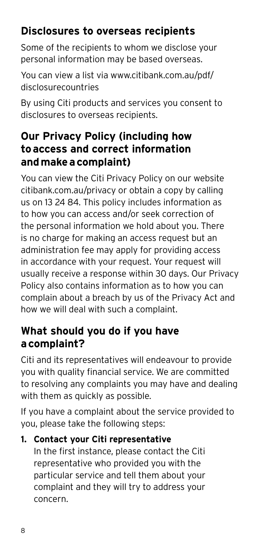## **Disclosures to overseas recipients**

Some of the recipients to whom we disclose your personal information may be based overseas.

You can view a list via [www.citibank.com.au/pdf/](http://www.citibank.com.au/pdf/disclosurecountries) [disclosurecountries](http://www.citibank.com.au/pdf/disclosurecountries)

By using Citi products and services you consent to disclosures to overseas recipients.

## **Our Privacy Policy (including how to access and correct information and make a complaint)**

You can view the Citi Privacy Policy on our website [citibank.com.au/privacy](http://citibank.com.au/privacy) or obtain a copy by calling us on 13 24 84. This policy includes information as to how you can access and/or seek correction of the personal information we hold about you. There is no charge for making an access request but an administration fee may apply for providing access in accordance with your request. Your request will usually receive a response within 30 days. Our Privacy Policy also contains information as to how you can complain about a breach by us of the Privacy Act and how we will deal with such a complaint.

## **What should you do if you have a complaint?**

Citi and its representatives will endeavour to provide you with quality financial service. We are committed to resolving any complaints you may have and dealing with them as quickly as possible.

If you have a complaint about the service provided to you, please take the following steps:

#### **1. Contact your Citi representative**

 In the first instance, please contact the Citi representative who provided you with the particular service and tell them about your complaint and they will try to address your concern.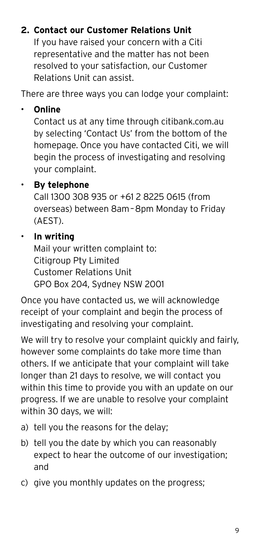#### **2. Contact our Customer Relations Unit**

 If you have raised your concern with a Citi representative and the matter has not been resolved to your satisfaction, our Customer Relations Unit can assist.

There are three ways you can lodge your complaint:

• **Online**

Contact us at any time through [citibank.com.au](http://citibank.com.au) by selecting 'Contact Us' from the bottom of the homepage. Once you have contacted Citi, we will begin the process of investigating and resolving your complaint.

#### • **By telephone**

 Call 1300 308 935 or +61 2 8225 0615 (from overseas) between 8am–8pm Monday to Friday (AEST).

#### • **In writing**

 Mail your written complaint to: Citigroup Pty Limited Customer Relations Unit GPO Box 204, Sydney NSW 2001

Once you have contacted us, we will acknowledge receipt of your complaint and begin the process of investigating and resolving your complaint.

We will try to resolve your complaint quickly and fairly, however some complaints do take more time than others. If we anticipate that your complaint will take longer than 21 days to resolve, we will contact you within this time to provide you with an update on our progress. If we are unable to resolve your complaint within 30 days, we will:

- a) tell you the reasons for the delay;
- b) tell you the date by which you can reasonably expect to hear the outcome of our investigation; and
- c) give you monthly updates on the progress;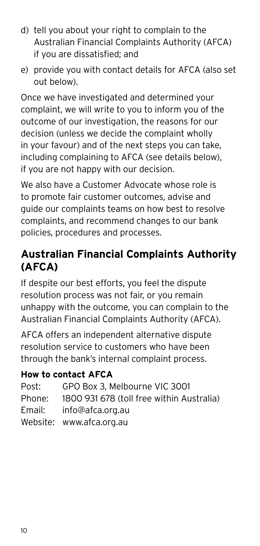- d) tell you about your right to complain to the Australian Financial Complaints Authority (AFCA) if you are dissatisfied; and
- e) provide you with contact details for AFCA (also set out below).

Once we have investigated and determined your complaint, we will write to you to inform you of the outcome of our investigation, the reasons for our decision (unless we decide the complaint wholly in your favour) and of the next steps you can take, including complaining to AFCA (see details below), if you are not happy with our decision.

We also have a Customer Advocate whose role is to promote fair customer outcomes, advise and guide our complaints teams on how best to resolve complaints, and recommend changes to our bank policies, procedures and processes.

## **Australian Financial Complaints Authority (AFCA)**

If despite our best efforts, you feel the dispute resolution process was not fair, or you remain unhappy with the outcome, you can complain to the Australian Financial Complaints Authority (AFCA).

AFCA offers an independent alternative dispute resolution service to customers who have been through the bank's internal complaint process.

#### **How to contact AFCA**

| Post:  | GPO Box 3, Melbourne VIC 3001             |
|--------|-------------------------------------------|
| Phone: | 1800 931 678 (toll free within Australia) |
| Email: | info@afca.org.au                          |
|        | Website: www.afca.org.au                  |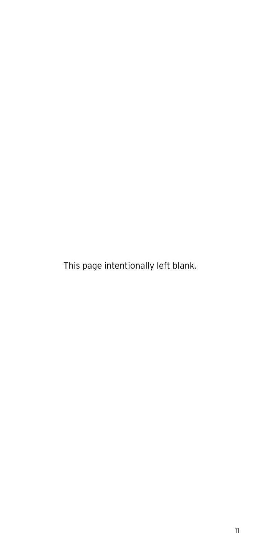This page intentionally left blank.